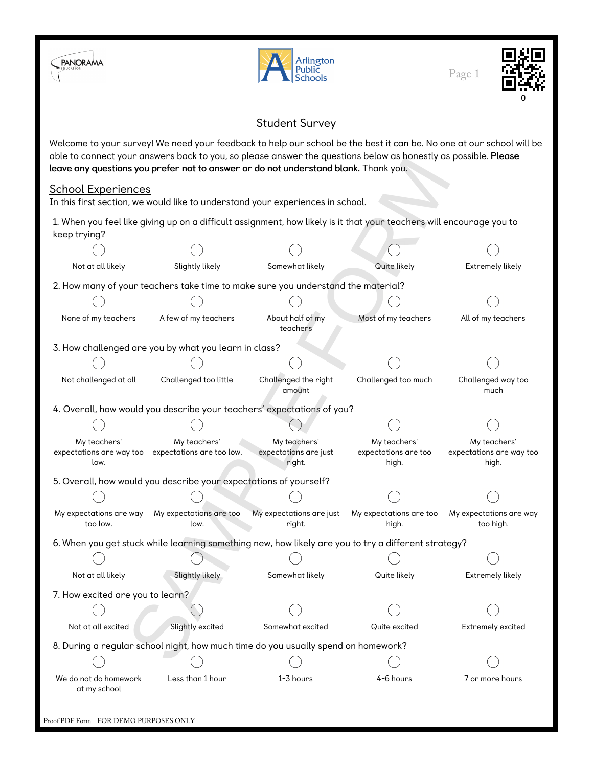



Page 1



## Student Survey

Welcome to your survey! We need your feedback to help our school be the best it can be. No one at our school will be able to connect your answers back to you, so please answer the questions below as honestly as possible. Please leave any questions you prefer not to answer or do not understand blank. Thank you.

## School Experiences

|                                                                        |                                                                    | able to connect your answer's back to you, so please answer' the questions below as nonestly as possible. Flease<br>leave any questions you prefer not to answer or do not understand blank. Thank you. |                                               |                                                   |  |  |  |  |  |
|------------------------------------------------------------------------|--------------------------------------------------------------------|---------------------------------------------------------------------------------------------------------------------------------------------------------------------------------------------------------|-----------------------------------------------|---------------------------------------------------|--|--|--|--|--|
| <b>School Experiences</b>                                              |                                                                    |                                                                                                                                                                                                         |                                               |                                                   |  |  |  |  |  |
|                                                                        |                                                                    | In this first section, we would like to understand your experiences in school.                                                                                                                          |                                               |                                                   |  |  |  |  |  |
| keep trying?                                                           |                                                                    | 1. When you feel like giving up on a difficult assignment, how likely is it that your teachers will encourage you to                                                                                    |                                               |                                                   |  |  |  |  |  |
|                                                                        |                                                                    |                                                                                                                                                                                                         |                                               |                                                   |  |  |  |  |  |
| Not at all likely                                                      | Slightly likely                                                    | Somewhat likely<br>Quite likely<br>Extremely likely                                                                                                                                                     |                                               |                                                   |  |  |  |  |  |
|                                                                        |                                                                    | 2. How many of your teachers take time to make sure you understand the material?                                                                                                                        |                                               |                                                   |  |  |  |  |  |
|                                                                        |                                                                    |                                                                                                                                                                                                         |                                               |                                                   |  |  |  |  |  |
| None of my teachers                                                    | A few of my teachers                                               | About half of my<br>teachers                                                                                                                                                                            | Most of my teachers                           | All of my teachers                                |  |  |  |  |  |
|                                                                        | 3. How challenged are you by what you learn in class?              |                                                                                                                                                                                                         |                                               |                                                   |  |  |  |  |  |
|                                                                        |                                                                    |                                                                                                                                                                                                         |                                               |                                                   |  |  |  |  |  |
| Not challenged at all                                                  | Challenged too little                                              | Challenged the right<br>amount                                                                                                                                                                          | Challenged too much                           | Challenged way too<br>much                        |  |  |  |  |  |
| 4. Overall, how would you describe your teachers' expectations of you? |                                                                    |                                                                                                                                                                                                         |                                               |                                                   |  |  |  |  |  |
|                                                                        |                                                                    |                                                                                                                                                                                                         |                                               |                                                   |  |  |  |  |  |
| My teachers'<br>low.                                                   | My teachers'<br>expectations are way too expectations are too low. | My teachers'<br>expectations are just<br>right.                                                                                                                                                         | My teachers'<br>expectations are too<br>high. | My teachers'<br>expectations are way too<br>high. |  |  |  |  |  |
|                                                                        | 5. Overall, how would you describe your expectations of yourself?  |                                                                                                                                                                                                         |                                               |                                                   |  |  |  |  |  |
|                                                                        |                                                                    |                                                                                                                                                                                                         |                                               |                                                   |  |  |  |  |  |
| My expectations are way<br>too low.                                    | My expectations are too<br>low.                                    | My expectations are just<br>right.                                                                                                                                                                      | My expectations are too<br>high.              | My expectations are way<br>too high.              |  |  |  |  |  |
|                                                                        |                                                                    | 6. When you get stuck while learning something new, how likely are you to try a different strategy?                                                                                                     |                                               |                                                   |  |  |  |  |  |
|                                                                        |                                                                    |                                                                                                                                                                                                         |                                               |                                                   |  |  |  |  |  |
| Not at all likely                                                      | Slightly likely                                                    | Somewhat likely                                                                                                                                                                                         | Quite likely                                  | Extremely likely                                  |  |  |  |  |  |
| 7. How excited are you to learn?                                       |                                                                    |                                                                                                                                                                                                         |                                               |                                                   |  |  |  |  |  |
|                                                                        |                                                                    |                                                                                                                                                                                                         |                                               |                                                   |  |  |  |  |  |
| Not at all excited                                                     | Slightly excited                                                   | Somewhat excited                                                                                                                                                                                        | Quite excited                                 | Extremely excited                                 |  |  |  |  |  |
|                                                                        |                                                                    | 8. During a regular school night, how much time do you usually spend on homework?                                                                                                                       |                                               |                                                   |  |  |  |  |  |
|                                                                        |                                                                    |                                                                                                                                                                                                         |                                               |                                                   |  |  |  |  |  |
| We do not do homework<br>at my school                                  | Less than 1 hour                                                   | $1 - 3$ hours                                                                                                                                                                                           | 4-6 hours                                     | 7 or more hours                                   |  |  |  |  |  |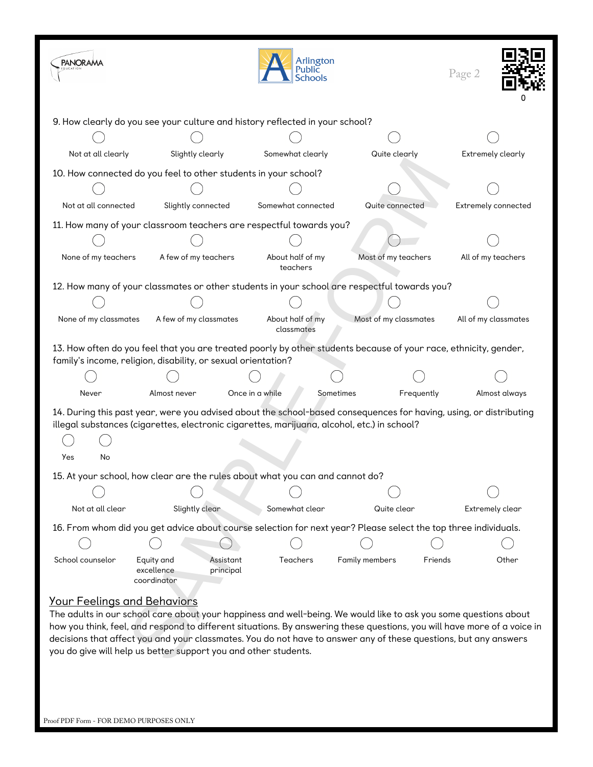| <b>PANORAMA</b>                         |                                                                                                                                                                                                                                                                                                                                                                                                                                     |                                | Arlington<br>Public<br>Schools |                       |            | Page 2               |               |  |  |
|-----------------------------------------|-------------------------------------------------------------------------------------------------------------------------------------------------------------------------------------------------------------------------------------------------------------------------------------------------------------------------------------------------------------------------------------------------------------------------------------|--------------------------------|--------------------------------|-----------------------|------------|----------------------|---------------|--|--|
|                                         | 9. How clearly do you see your culture and history reflected in your school?                                                                                                                                                                                                                                                                                                                                                        |                                |                                |                       |            |                      |               |  |  |
|                                         |                                                                                                                                                                                                                                                                                                                                                                                                                                     |                                |                                |                       |            |                      |               |  |  |
| Not at all clearly                      | Slightly clearly                                                                                                                                                                                                                                                                                                                                                                                                                    | Somewhat clearly               |                                | Quite clearly         |            | Extremely clearly    |               |  |  |
|                                         | 10. How connected do you feel to other students in your school?                                                                                                                                                                                                                                                                                                                                                                     |                                |                                |                       |            |                      |               |  |  |
|                                         |                                                                                                                                                                                                                                                                                                                                                                                                                                     |                                |                                |                       |            |                      |               |  |  |
| Not at all connected                    | Slightly connected                                                                                                                                                                                                                                                                                                                                                                                                                  | Somewhat connected             |                                | Quite connected       |            | Extremely connected  |               |  |  |
|                                         | 11. How many of your classroom teachers are respectful towards you?                                                                                                                                                                                                                                                                                                                                                                 |                                |                                |                       |            |                      |               |  |  |
|                                         |                                                                                                                                                                                                                                                                                                                                                                                                                                     |                                |                                |                       |            |                      |               |  |  |
| None of my teachers                     | A few of my teachers                                                                                                                                                                                                                                                                                                                                                                                                                | About half of my<br>teachers   |                                | Most of my teachers   |            | All of my teachers   |               |  |  |
|                                         | 12. How many of your classmates or other students in your school are respectful towards you?                                                                                                                                                                                                                                                                                                                                        |                                |                                |                       |            |                      |               |  |  |
|                                         |                                                                                                                                                                                                                                                                                                                                                                                                                                     |                                |                                |                       |            |                      |               |  |  |
| None of my classmates                   | A few of my classmates                                                                                                                                                                                                                                                                                                                                                                                                              | About half of my<br>classmates |                                | Most of my classmates |            | All of my classmates |               |  |  |
|                                         | 13. How often do you feel that you are treated poorly by other students because of your race, ethnicity, gender,<br>family's income, religion, disability, or sexual orientation?                                                                                                                                                                                                                                                   |                                |                                |                       |            |                      |               |  |  |
|                                         |                                                                                                                                                                                                                                                                                                                                                                                                                                     |                                |                                |                       |            |                      |               |  |  |
| Never                                   | Almost never                                                                                                                                                                                                                                                                                                                                                                                                                        | Once in a while                | Sometimes                      |                       | Frequently |                      | Almost always |  |  |
| Yes<br>No                               | 14. During this past year, were you advised about the school-based consequences for having, using, or distributing<br>illegal substances (cigarettes, electronic cigarettes, marijuana, alcohol, etc.) in school?                                                                                                                                                                                                                   |                                |                                |                       |            |                      |               |  |  |
|                                         | 15. At your school, how clear are the rules about what you can and cannot do?                                                                                                                                                                                                                                                                                                                                                       |                                |                                |                       |            |                      |               |  |  |
|                                         |                                                                                                                                                                                                                                                                                                                                                                                                                                     |                                |                                |                       |            |                      |               |  |  |
| Not at all clear                        | Slightly clear                                                                                                                                                                                                                                                                                                                                                                                                                      | Somewhat clear                 |                                | Quite clear           |            | Extremely clear      |               |  |  |
|                                         | 16. From whom did you get advice about course selection for next year? Please select the top three individuals.                                                                                                                                                                                                                                                                                                                     |                                |                                |                       |            |                      |               |  |  |
| School counselor                        | Equity and                                                                                                                                                                                                                                                                                                                                                                                                                          | Teachers<br>Assistant          |                                | Family members        | Friends    |                      | Other         |  |  |
|                                         | excellence<br>coordinator                                                                                                                                                                                                                                                                                                                                                                                                           | principal                      |                                |                       |            |                      |               |  |  |
| <u> Your Feelings and Behaviors</u>     | The adults in our school care about your happiness and well-being. We would like to ask you some questions about<br>how you think, feel, and respond to different situations. By answering these questions, you will have more of a voice in<br>decisions that affect you and your classmates. You do not have to answer any of these questions, but any answers<br>you do give will help us better support you and other students. |                                |                                |                       |            |                      |               |  |  |
| Proof PDF Form - FOR DEMO PURPOSES ONLY |                                                                                                                                                                                                                                                                                                                                                                                                                                     |                                |                                |                       |            |                      |               |  |  |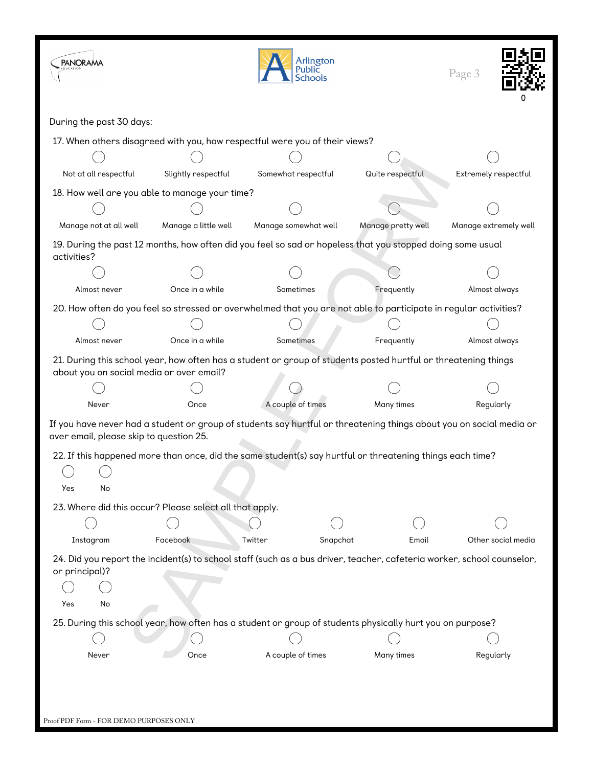| <b>PANORAMA</b>                                         |                                                                | Arlington<br>Public<br><b>Schools</b>                                                                                  | Page 3             |                       |  |  |  |  |
|---------------------------------------------------------|----------------------------------------------------------------|------------------------------------------------------------------------------------------------------------------------|--------------------|-----------------------|--|--|--|--|
| During the past 30 days:                                |                                                                |                                                                                                                        |                    |                       |  |  |  |  |
|                                                         |                                                                | 17. When others disagreed with you, how respectful were you of their views?                                            |                    |                       |  |  |  |  |
|                                                         |                                                                |                                                                                                                        |                    |                       |  |  |  |  |
| Not at all respectful                                   | Slightly respectful<br>Somewhat respectful<br>Quite respectful |                                                                                                                        |                    |                       |  |  |  |  |
| 18. How well are you able to manage your time?          |                                                                |                                                                                                                        |                    |                       |  |  |  |  |
|                                                         |                                                                |                                                                                                                        |                    |                       |  |  |  |  |
| Manage not at all well                                  | Manage a little well                                           | Manage somewhat well                                                                                                   | Manage pretty well | Manage extremely well |  |  |  |  |
| activities?                                             |                                                                | 19. During the past 12 months, how often did you feel so sad or hopeless that you stopped doing some usual             |                    |                       |  |  |  |  |
|                                                         |                                                                |                                                                                                                        |                    |                       |  |  |  |  |
| Almost never                                            | Once in a while                                                | Sometimes                                                                                                              | Frequently         | Almost always         |  |  |  |  |
|                                                         |                                                                | 20. How often do you feel so stressed or overwhelmed that you are not able to participate in regular activities?       |                    |                       |  |  |  |  |
|                                                         |                                                                |                                                                                                                        |                    |                       |  |  |  |  |
| Almost never                                            | Once in a while<br>Sometimes<br>Frequently                     |                                                                                                                        |                    |                       |  |  |  |  |
| about you on social media or over email?                |                                                                | 21. During this school year, how often has a student or group of students posted hurtful or threatening things         |                    |                       |  |  |  |  |
|                                                         |                                                                |                                                                                                                        |                    |                       |  |  |  |  |
| Never                                                   | Once                                                           | A couple of times                                                                                                      | Many times         | Regularly             |  |  |  |  |
| over email, please skip to question 25.                 |                                                                | If you have never had a student or group of students say hurtful or threatening things about you on social media or    |                    |                       |  |  |  |  |
| Yes<br>No                                               |                                                                | 22. If this happened more than once, did the same student(s) say hurtful or threatening things each time?              |                    |                       |  |  |  |  |
| 23. Where did this occur? Please select all that apply. |                                                                |                                                                                                                        |                    |                       |  |  |  |  |
|                                                         |                                                                |                                                                                                                        |                    |                       |  |  |  |  |
| Instagram                                               | Facebook                                                       | Twitter<br>Snapchat                                                                                                    | Email              | Other social media    |  |  |  |  |
| or principal)?                                          |                                                                | 24. Did you report the incident(s) to school staff (such as a bus driver, teacher, cafeteria worker, school counselor, |                    |                       |  |  |  |  |
|                                                         |                                                                |                                                                                                                        |                    |                       |  |  |  |  |
| Yes<br>No                                               |                                                                |                                                                                                                        |                    |                       |  |  |  |  |
|                                                         |                                                                | 25. During this school year, how often has a student or group of students physically hurt you on purpose?              |                    |                       |  |  |  |  |
| Never                                                   | Once                                                           | A couple of times                                                                                                      | Many times         | Regularly             |  |  |  |  |
| Proof PDF Form - FOR DEMO PURPOSES ONLY                 |                                                                |                                                                                                                        |                    |                       |  |  |  |  |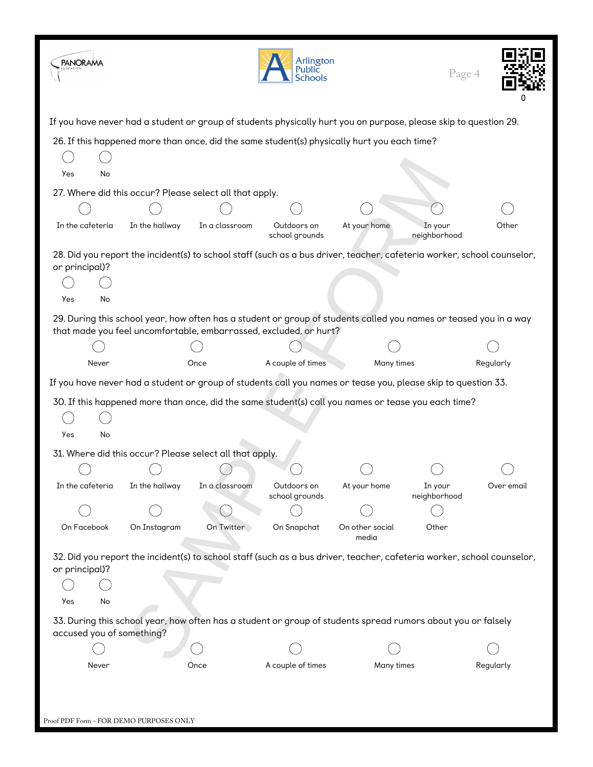| <b>PANORAMA</b>                                                                                                  |                |                | Arlington<br>Public<br><b>Schools</b>                                                                                                                                                  |                          | Page 4                  |            |
|------------------------------------------------------------------------------------------------------------------|----------------|----------------|----------------------------------------------------------------------------------------------------------------------------------------------------------------------------------------|--------------------------|-------------------------|------------|
| If you have never had a student or group of students physically hurt you on purpose, please skip to question 29. |                |                |                                                                                                                                                                                        |                          |                         |            |
|                                                                                                                  |                |                | 26. If this happened more than once, did the same student(s) physically hurt you each time?                                                                                            |                          |                         |            |
| Yes<br>No                                                                                                        |                |                |                                                                                                                                                                                        |                          |                         |            |
| 27. Where did this occur? Please select all that apply.                                                          |                |                |                                                                                                                                                                                        |                          |                         |            |
|                                                                                                                  |                |                |                                                                                                                                                                                        |                          |                         |            |
| In the cafeteria                                                                                                 | In the hallway | In a classroom | Outdoors on<br>school grounds                                                                                                                                                          | At your home             | In your<br>neighborhood | Other      |
| or principal)?                                                                                                   |                |                | 28. Did you report the incident(s) to school staff (such as a bus driver, teacher, cafeteria worker, school counselor,                                                                 |                          |                         |            |
| No<br>Yes                                                                                                        |                |                |                                                                                                                                                                                        |                          |                         |            |
|                                                                                                                  |                |                | 29. During this school year, how often has a student or group of students called you names or teased you in a way<br>that made you feel uncomfortable, embarrassed, excluded, or hurt? |                          |                         |            |
|                                                                                                                  |                |                |                                                                                                                                                                                        |                          |                         |            |
| Never                                                                                                            |                | Once           | A couple of times                                                                                                                                                                      | Many times               |                         | Regularly  |
| If you have never had a student or group of students call you names or tease you, please skip to question 33.    |                |                |                                                                                                                                                                                        |                          |                         |            |
|                                                                                                                  |                |                | 30. If this happened more than once, did the same student(s) call you names or tease you each time?                                                                                    |                          |                         |            |
|                                                                                                                  |                |                |                                                                                                                                                                                        |                          |                         |            |
| Yes<br>No                                                                                                        |                |                |                                                                                                                                                                                        |                          |                         |            |
| 31. Where did this occur? Please select all that apply.                                                          |                |                |                                                                                                                                                                                        |                          |                         |            |
|                                                                                                                  |                |                |                                                                                                                                                                                        |                          |                         |            |
| In the cafeteria                                                                                                 | In the hallway | In a classroom | Outdoors on                                                                                                                                                                            | At your home             | In your                 | Over email |
|                                                                                                                  |                |                | school grounds                                                                                                                                                                         |                          | neighborhood            |            |
| On Facebook                                                                                                      | On Instagram   | On Twitter     | On Snapchat                                                                                                                                                                            | On other social<br>media | Other                   |            |
| or principal)?<br>Yes<br>No                                                                                      |                |                | 32. Did you report the incident(s) to school staff (such as a bus driver, teacher, cafeteria worker, school counselor,                                                                 |                          |                         |            |
| accused you of something?                                                                                        |                |                | 33. During this school year, how often has a student or group of students spread rumors about you or falsely                                                                           |                          |                         |            |
|                                                                                                                  |                |                |                                                                                                                                                                                        |                          |                         |            |
| Never                                                                                                            |                | Once           | A couple of times                                                                                                                                                                      | Many times               |                         | Regularly  |
| Proof PDF Form - FOR DEMO PURPOSES ONLY                                                                          |                |                |                                                                                                                                                                                        |                          |                         |            |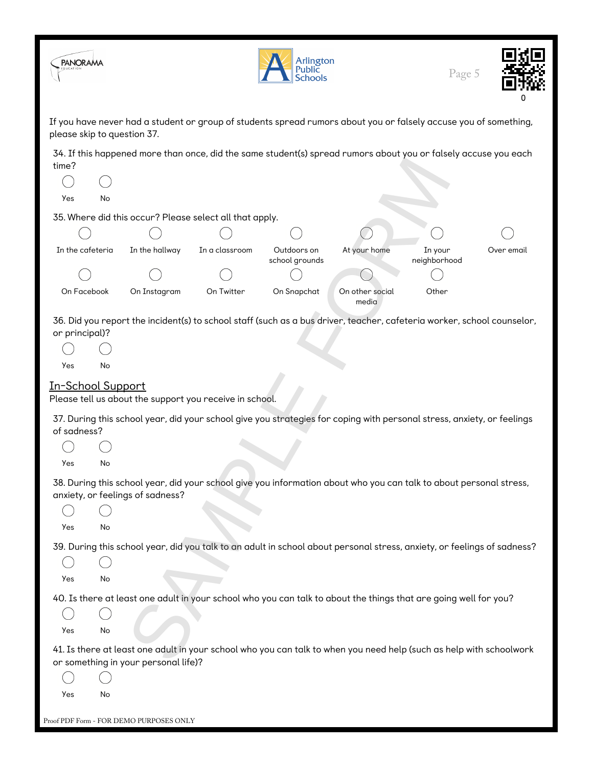| <b>PANORAMA</b>                                   |    |                                         |                                                         | Arlington<br>Public<br><b>Schools</b> |                                                                                                                         | Page 5                  |            |
|---------------------------------------------------|----|-----------------------------------------|---------------------------------------------------------|---------------------------------------|-------------------------------------------------------------------------------------------------------------------------|-------------------------|------------|
| please skip to question 37.                       |    |                                         |                                                         |                                       | If you have never had a student or group of students spread rumors about you or falsely accuse you of something,        |                         |            |
| time?<br>Yes                                      | No |                                         |                                                         |                                       | 34. If this happened more than once, did the same student(s) spread rumors about you or falsely accuse you each         |                         |            |
|                                                   |    |                                         | 35. Where did this occur? Please select all that apply. |                                       |                                                                                                                         |                         |            |
|                                                   |    |                                         |                                                         |                                       |                                                                                                                         |                         |            |
| In the cafeteria                                  |    | In the hallway                          | In a classroom                                          | Outdoors on<br>school grounds         | At your home                                                                                                            | In your<br>neighborhood | Over email |
|                                                   |    |                                         |                                                         |                                       |                                                                                                                         |                         |            |
| On Facebook                                       |    | On Instagram                            | On Twitter                                              | On Snapchat                           | On other social<br>media                                                                                                | Other                   |            |
| or principal)?<br><b>Yes</b><br>In-School Support | No |                                         |                                                         |                                       | 36. Did you report the incident(s) to school staff (such as a bus driver, teacher, cafeteria worker, school counselor,  |                         |            |
| of sadness?<br>Yes                                | No |                                         | Please tell us about the support you receive in school. |                                       | 37. During this school year, did your school give you strategies for coping with personal stress, anxiety, or feelings  |                         |            |
| Yes                                               | No | anxiety, or feelings of sadness?        |                                                         |                                       | 38. During this school year, did your school give you information about who you can talk to about personal stress,      |                         |            |
| Yes                                               | No |                                         |                                                         |                                       | 39. During this school year, did you talk to an adult in school about personal stress, anxiety, or feelings of sadness? |                         |            |
|                                                   |    |                                         |                                                         |                                       | 40. Is there at least one adult in your school who you can talk to about the things that are going well for you?        |                         |            |
|                                                   |    |                                         |                                                         |                                       |                                                                                                                         |                         |            |
| Yes                                               | No |                                         |                                                         |                                       |                                                                                                                         |                         |            |
| Yes                                               | No | or something in your personal life)?    |                                                         |                                       | 41. Is there at least one adult in your school who you can talk to when you need help (such as help with schoolwork     |                         |            |
|                                                   |    | Proof PDF Form - FOR DEMO PURPOSES ONLY |                                                         |                                       |                                                                                                                         |                         |            |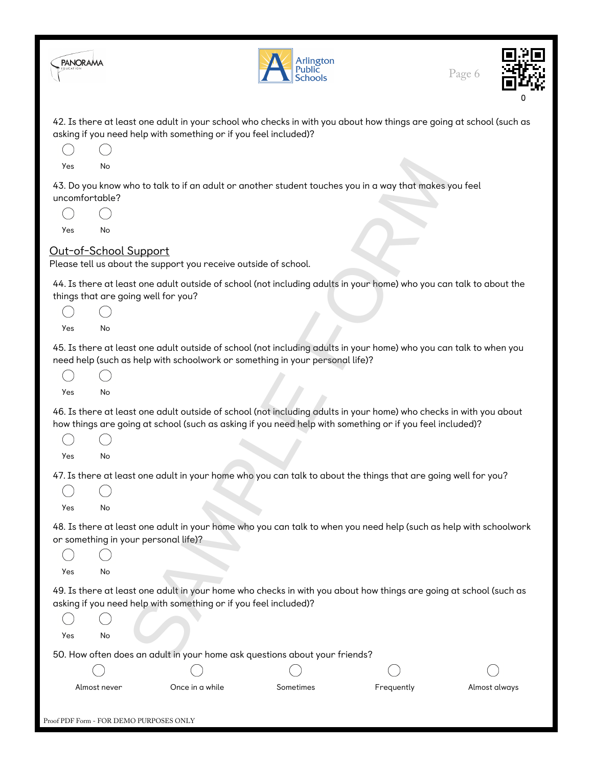| <b>PANORAMA</b>              |                                         |                                                                  | Arlington<br>Public<br>Schools                                                                                                                                                                                                 |            | Page 6        |
|------------------------------|-----------------------------------------|------------------------------------------------------------------|--------------------------------------------------------------------------------------------------------------------------------------------------------------------------------------------------------------------------------|------------|---------------|
|                              |                                         | asking if you need help with something or if you feel included)? | 42. Is there at least one adult in your school who checks in with you about how things are going at school (such as                                                                                                            |            |               |
|                              |                                         |                                                                  |                                                                                                                                                                                                                                |            |               |
| <b>Yes</b><br>uncomfortable? | No                                      |                                                                  | 43. Do you know who to talk to if an adult or another student touches you in a way that makes you feel                                                                                                                         |            |               |
|                              |                                         |                                                                  |                                                                                                                                                                                                                                |            |               |
| Yes                          | No                                      |                                                                  |                                                                                                                                                                                                                                |            |               |
|                              | Out-of-School Support                   | Please tell us about the support you receive outside of school.  |                                                                                                                                                                                                                                |            |               |
|                              | things that are going well for you?     |                                                                  | 44. Is there at least one adult outside of school (not including adults in your home) who you can talk to about the                                                                                                            |            |               |
|                              |                                         |                                                                  |                                                                                                                                                                                                                                |            |               |
| Yes                          | No                                      |                                                                  |                                                                                                                                                                                                                                |            |               |
| Yes                          | No                                      |                                                                  | 45. Is there at least one adult outside of school (not including adults in your home) who you can talk to when you<br>need help (such as help with schoolwork or something in your personal life)?                             |            |               |
|                              |                                         |                                                                  | 46. Is there at least one adult outside of school (not including adults in your home) who checks in with you about<br>how things are going at school (such as asking if you need help with something or if you feel included)? |            |               |
| Yes                          | No                                      |                                                                  |                                                                                                                                                                                                                                |            |               |
|                              |                                         |                                                                  | 47. Is there at least one adult in your home who you can talk to about the things that are going well for you?                                                                                                                 |            |               |
| Yes                          | No                                      |                                                                  |                                                                                                                                                                                                                                |            |               |
|                              | or something in your personal life)?    |                                                                  | 48. Is there at least one adult in your home who you can talk to when you need help (such as help with schoolwork                                                                                                              |            |               |
|                              |                                         |                                                                  |                                                                                                                                                                                                                                |            |               |
| Yes                          | No                                      |                                                                  | 49. Is there at least one adult in your home who checks in with you about how things are going at school (such as                                                                                                              |            |               |
|                              |                                         | asking if you need help with something or if you feel included)? |                                                                                                                                                                                                                                |            |               |
| Yes                          | No                                      |                                                                  |                                                                                                                                                                                                                                |            |               |
|                              |                                         |                                                                  | 50. How often does an adult in your home ask questions about your friends?                                                                                                                                                     |            |               |
|                              | Almost never                            | Once in a while                                                  | Sometimes                                                                                                                                                                                                                      | Frequently | Almost always |
|                              | Proof PDF Form - FOR DEMO PURPOSES ONLY |                                                                  |                                                                                                                                                                                                                                |            |               |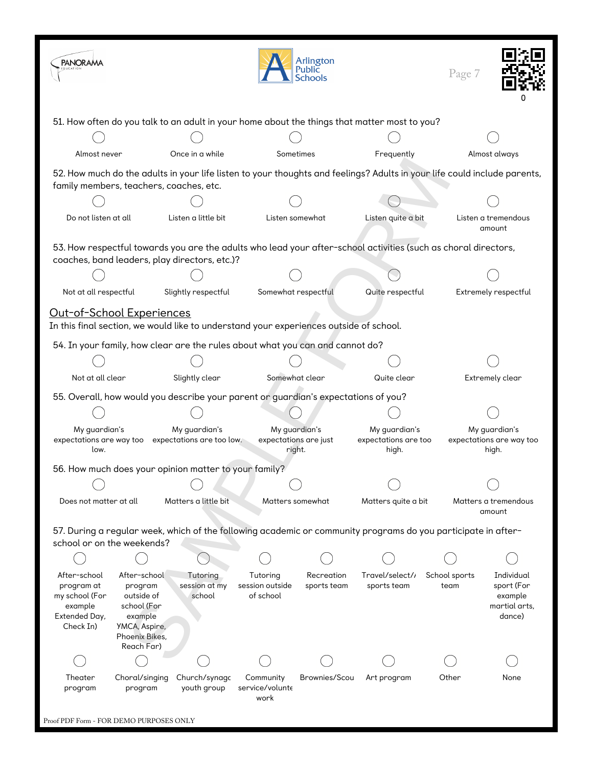| <b>PANORAMA</b>                                                                        |                                                                                                                                                                     |                                                                                    |                                          | Arlington<br>Public<br><b>Schools</b>            |                                                                                                                | Page 7                |                                                                |  |
|----------------------------------------------------------------------------------------|---------------------------------------------------------------------------------------------------------------------------------------------------------------------|------------------------------------------------------------------------------------|------------------------------------------|--------------------------------------------------|----------------------------------------------------------------------------------------------------------------|-----------------------|----------------------------------------------------------------|--|
|                                                                                        |                                                                                                                                                                     |                                                                                    |                                          |                                                  | 51. How often do you talk to an adult in your home about the things that matter most to you?                   |                       |                                                                |  |
|                                                                                        |                                                                                                                                                                     |                                                                                    |                                          |                                                  |                                                                                                                |                       |                                                                |  |
| Almost never                                                                           |                                                                                                                                                                     | Once in a while                                                                    |                                          | Sometimes                                        | Frequently                                                                                                     |                       | Almost always                                                  |  |
|                                                                                        | 52. How much do the adults in your life listen to your thoughts and feelings? Adults in your life could include parents,<br>family members, teachers, coaches, etc. |                                                                                    |                                          |                                                  |                                                                                                                |                       |                                                                |  |
|                                                                                        |                                                                                                                                                                     |                                                                                    |                                          |                                                  |                                                                                                                |                       |                                                                |  |
| Do not listen at all                                                                   |                                                                                                                                                                     | Listen a little bit                                                                |                                          | Listen somewhat                                  | Listen quite a bit                                                                                             |                       | Listen a tremendous<br>amount                                  |  |
|                                                                                        |                                                                                                                                                                     | coaches, band leaders, play directors, etc.)?                                      |                                          |                                                  | 53. How respectful towards you are the adults who lead your after-school activities (such as choral directors, |                       |                                                                |  |
|                                                                                        |                                                                                                                                                                     |                                                                                    |                                          |                                                  |                                                                                                                |                       |                                                                |  |
| Not at all respectful                                                                  |                                                                                                                                                                     | Slightly respectful                                                                |                                          | Somewhat respectful                              | Quite respectful                                                                                               |                       | Extremely respectful                                           |  |
| Out-of-School Experiences                                                              |                                                                                                                                                                     |                                                                                    |                                          |                                                  |                                                                                                                |                       |                                                                |  |
| In this final section, we would like to understand your experiences outside of school. |                                                                                                                                                                     |                                                                                    |                                          |                                                  |                                                                                                                |                       |                                                                |  |
|                                                                                        |                                                                                                                                                                     | 54. In your family, how clear are the rules about what you can and cannot do?      |                                          |                                                  |                                                                                                                |                       |                                                                |  |
|                                                                                        |                                                                                                                                                                     |                                                                                    |                                          |                                                  |                                                                                                                |                       |                                                                |  |
| Not at all clear<br>Slightly clear                                                     |                                                                                                                                                                     |                                                                                    | Somewhat clear                           |                                                  | Quite clear                                                                                                    |                       | Extremely clear                                                |  |
|                                                                                        |                                                                                                                                                                     | 55. Overall, how would you describe your parent or guardian's expectations of you? |                                          |                                                  |                                                                                                                |                       |                                                                |  |
|                                                                                        |                                                                                                                                                                     |                                                                                    |                                          |                                                  | My guardian's                                                                                                  |                       |                                                                |  |
| My quardian's<br>low.                                                                  |                                                                                                                                                                     | My guardian's<br>expectations are way too expectations are too low.                |                                          | My guardian's<br>expectations are just<br>right. |                                                                                                                | expectations are too  | My guardian's<br>expectations are way too<br>high.             |  |
|                                                                                        |                                                                                                                                                                     | 56. How much does your opinion matter to your family?                              |                                          |                                                  |                                                                                                                |                       |                                                                |  |
|                                                                                        |                                                                                                                                                                     |                                                                                    |                                          |                                                  |                                                                                                                |                       |                                                                |  |
| Does not matter at all                                                                 |                                                                                                                                                                     | Matters a little bit                                                               |                                          | Matters somewhat                                 | Matters quite a bit                                                                                            |                       | Matters a tremendous<br>amount                                 |  |
|                                                                                        | school or on the weekends?                                                                                                                                          |                                                                                    |                                          |                                                  | 57. During a regular week, which of the following academic or community programs do you participate in after-  |                       |                                                                |  |
|                                                                                        |                                                                                                                                                                     |                                                                                    |                                          |                                                  |                                                                                                                |                       |                                                                |  |
| After-school<br>program at<br>my school (For<br>example<br>Extended Day,<br>Check In)  | After-school<br>program<br>outside of<br>school (For<br>example<br>YMCA, Aspire,<br>Phoenix Bikes,<br>Reach Far)                                                    | Tutoring<br>session at my<br>school                                                | Tutoring<br>session outside<br>of school | Recreation<br>sports team                        | Travel/select/<br>sports team                                                                                  | School sports<br>team | Individual<br>sport (For<br>example<br>martial arts,<br>dance) |  |
|                                                                                        |                                                                                                                                                                     |                                                                                    |                                          |                                                  |                                                                                                                |                       |                                                                |  |
| Theater<br>program                                                                     | Choral/singing<br>program                                                                                                                                           | Church/synago<br>youth group                                                       | Community<br>service/volunte<br>work     | Brownies/Scou                                    | Art program                                                                                                    | Other                 | None                                                           |  |
| Proof PDF Form - FOR DEMO PURPOSES ONLY                                                |                                                                                                                                                                     |                                                                                    |                                          |                                                  |                                                                                                                |                       |                                                                |  |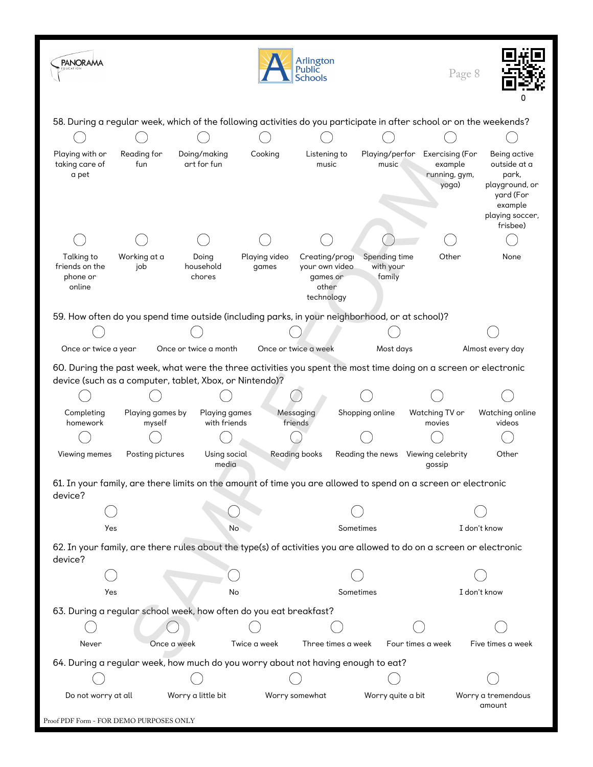| <b>PANORAMA</b>                                    |                                                                                                                                                                             |                                                                                                                     |                        | Arlington<br>Public<br>Schools                                      |                                      | Page 8                                               |                                                                                                                |  |
|----------------------------------------------------|-----------------------------------------------------------------------------------------------------------------------------------------------------------------------------|---------------------------------------------------------------------------------------------------------------------|------------------------|---------------------------------------------------------------------|--------------------------------------|------------------------------------------------------|----------------------------------------------------------------------------------------------------------------|--|
|                                                    |                                                                                                                                                                             | 58. During a regular week, which of the following activities do you participate in after school or on the weekends? |                        |                                                                     |                                      |                                                      |                                                                                                                |  |
|                                                    |                                                                                                                                                                             |                                                                                                                     |                        |                                                                     |                                      |                                                      |                                                                                                                |  |
| Playing with or<br>taking care of<br>a pet         | Reading for<br>fun                                                                                                                                                          | Doing/making<br>art for fun                                                                                         | Cooking                | Listening to<br>music                                               | Playing/perfor<br>music              | Exercising (For<br>example<br>running, gym,<br>yoga) | Being active<br>outside at a<br>park,<br>playground, or<br>yard (For<br>example<br>playing soccer,<br>frisbee) |  |
|                                                    |                                                                                                                                                                             |                                                                                                                     |                        |                                                                     |                                      |                                                      |                                                                                                                |  |
| Talking to<br>friends on the<br>phone or<br>online | Working at a<br>job                                                                                                                                                         | Doing<br>household<br>chores                                                                                        | Playing video<br>games | Creating/progl<br>your own video<br>games or<br>other<br>technology | Spending time<br>with your<br>family | Other                                                | None                                                                                                           |  |
|                                                    |                                                                                                                                                                             | 59. How often do you spend time outside (including parks, in your neighborhood, or at school)?                      |                        |                                                                     |                                      |                                                      |                                                                                                                |  |
|                                                    |                                                                                                                                                                             |                                                                                                                     |                        |                                                                     |                                      |                                                      |                                                                                                                |  |
| Once or twice a year                               |                                                                                                                                                                             | Once or twice a month                                                                                               |                        | Once or twice a week                                                | Most days                            |                                                      | Almost every day                                                                                               |  |
|                                                    | 60. During the past week, what were the three activities you spent the most time doing on a screen or electronic<br>device (such as a computer, tablet, Xbox, or Nintendo)? |                                                                                                                     |                        |                                                                     |                                      |                                                      |                                                                                                                |  |
|                                                    |                                                                                                                                                                             |                                                                                                                     |                        |                                                                     |                                      |                                                      |                                                                                                                |  |
| Completing<br>homework                             | Playing games by<br>myself                                                                                                                                                  | <b>Playing games</b><br>with friends                                                                                |                        | Messaging<br>friends                                                | Shopping online                      | Watching TV or<br>movies                             | Watching online<br>videos                                                                                      |  |
|                                                    |                                                                                                                                                                             |                                                                                                                     |                        |                                                                     |                                      |                                                      |                                                                                                                |  |
| Viewing memes                                      | Posting pictures                                                                                                                                                            | Using social<br>media                                                                                               |                        | <b>Reading books</b>                                                | Reading the news                     | Viewing celebrity<br>qossip                          | Other                                                                                                          |  |
| device?                                            |                                                                                                                                                                             | 61. In your family, are there limits on the amount of time you are allowed to spend on a screen or electronic       |                        |                                                                     |                                      |                                                      |                                                                                                                |  |
|                                                    |                                                                                                                                                                             |                                                                                                                     |                        |                                                                     |                                      |                                                      |                                                                                                                |  |
| Yes                                                |                                                                                                                                                                             | No                                                                                                                  |                        |                                                                     | Sometimes                            |                                                      | I don't know                                                                                                   |  |
| device?                                            |                                                                                                                                                                             | 62. In your family, are there rules about the type(s) of activities you are allowed to do on a screen or electronic |                        |                                                                     |                                      |                                                      |                                                                                                                |  |
|                                                    |                                                                                                                                                                             |                                                                                                                     |                        |                                                                     |                                      |                                                      |                                                                                                                |  |
| Yes                                                |                                                                                                                                                                             | No                                                                                                                  |                        |                                                                     | Sometimes                            |                                                      | I don't know                                                                                                   |  |
|                                                    |                                                                                                                                                                             | 63. During a regular school week, how often do you eat breakfast?                                                   |                        |                                                                     |                                      |                                                      |                                                                                                                |  |
|                                                    |                                                                                                                                                                             |                                                                                                                     |                        |                                                                     |                                      |                                                      |                                                                                                                |  |
| Never                                              | Once a week                                                                                                                                                                 |                                                                                                                     | Twice a week           | Three times a week                                                  |                                      | Four times a week                                    | Five times a week                                                                                              |  |
|                                                    |                                                                                                                                                                             | 64. During a regular week, how much do you worry about not having enough to eat?                                    |                        |                                                                     |                                      |                                                      |                                                                                                                |  |
|                                                    |                                                                                                                                                                             |                                                                                                                     |                        |                                                                     |                                      |                                                      |                                                                                                                |  |
| Do not worry at all                                |                                                                                                                                                                             | Worry a little bit                                                                                                  |                        | Worry somewhat                                                      | Worry quite a bit                    |                                                      | Worry a tremendous<br>amount                                                                                   |  |
| Proof PDF Form - FOR DEMO PURPOSES ONLY            |                                                                                                                                                                             |                                                                                                                     |                        |                                                                     |                                      |                                                      |                                                                                                                |  |